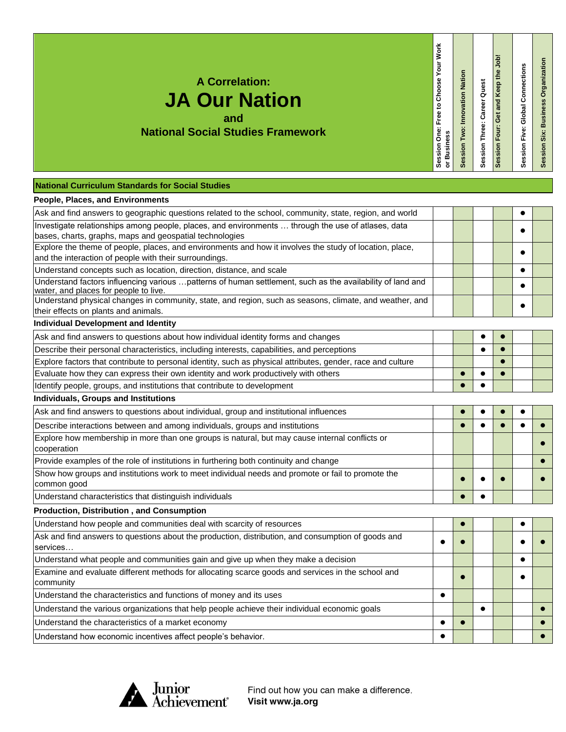| <b>A Correlation:</b><br><b>JA Our Nation</b><br>and<br><b>National Social Studies Framework</b>                                                                  | Session One: Free to Choose Your Work<br><b>Business</b><br>$\overline{5}$ | Session Two: Innovation Nation | Session Three: Career Quest | Session Four: Get and Keep the Job | Session Five: Global Connections | Session Six: Business Organization |
|-------------------------------------------------------------------------------------------------------------------------------------------------------------------|----------------------------------------------------------------------------|--------------------------------|-----------------------------|------------------------------------|----------------------------------|------------------------------------|
| <b>National Curriculum Standards for Social Studies</b>                                                                                                           |                                                                            |                                |                             |                                    |                                  |                                    |
| <b>People, Places, and Environments</b>                                                                                                                           |                                                                            |                                |                             |                                    |                                  |                                    |
| Ask and find answers to geographic questions related to the school, community, state, region, and world                                                           |                                                                            |                                |                             |                                    | $\bullet$                        |                                    |
| Investigate relationships among people, places, and environments  through the use of atlases, data<br>bases, charts, graphs, maps and geospatial technologies     |                                                                            |                                |                             |                                    |                                  |                                    |
| Explore the theme of people, places, and environments and how it involves the study of location, place,<br>and the interaction of people with their surroundings. |                                                                            |                                |                             |                                    |                                  |                                    |
| Understand concepts such as location, direction, distance, and scale                                                                                              |                                                                            |                                |                             |                                    | $\bullet$                        |                                    |
| Understand factors influencing various  patterns of human settlement, such as the availability of land and<br>water, and places for people to live.               |                                                                            |                                |                             |                                    |                                  |                                    |
| Understand physical changes in community, state, and region, such as seasons, climate, and weather, and<br>their effects on plants and animals.                   |                                                                            |                                |                             |                                    |                                  |                                    |
| <b>Individual Development and Identity</b>                                                                                                                        |                                                                            |                                |                             |                                    |                                  |                                    |
| Ask and find answers to questions about how individual identity forms and changes                                                                                 |                                                                            |                                | $\bullet$                   |                                    |                                  |                                    |
| Describe their personal characteristics, including interests, capabilities, and perceptions                                                                       |                                                                            |                                | $\bullet$                   | $\bullet$                          |                                  |                                    |
| Explore factors that contribute to personal identity, such as physical attributes, gender, race and culture                                                       |                                                                            |                                |                             |                                    |                                  |                                    |
| Evaluate how they can express their own identity and work productively with others                                                                                |                                                                            |                                | $\bullet$                   |                                    |                                  |                                    |
| Identify people, groups, and institutions that contribute to development                                                                                          |                                                                            |                                | $\bullet$                   |                                    |                                  |                                    |
| Individuals, Groups and Institutions                                                                                                                              |                                                                            |                                |                             |                                    |                                  |                                    |
| Ask and find answers to questions about individual, group and institutional influences                                                                            |                                                                            |                                |                             |                                    |                                  |                                    |
| Describe interactions between and among individuals, groups and institutions                                                                                      |                                                                            |                                | $\bullet$                   | $\bullet$                          | $\bullet$                        |                                    |
| Explore how membership in more than one groups is natural, but may cause internal conflicts or<br>cooperation                                                     |                                                                            |                                |                             |                                    |                                  |                                    |
| Provide examples of the role of institutions in furthering both continuity and change                                                                             |                                                                            |                                |                             |                                    |                                  |                                    |
| Show how groups and institutions work to meet individual needs and promote or fail to promote the<br>common good                                                  |                                                                            |                                |                             |                                    |                                  |                                    |
| Understand characteristics that distinguish individuals                                                                                                           |                                                                            | $\bullet$                      |                             |                                    |                                  |                                    |
| Production, Distribution, and Consumption                                                                                                                         |                                                                            |                                |                             |                                    |                                  |                                    |
| Understand how people and communities deal with scarcity of resources                                                                                             |                                                                            | $\bullet$                      |                             |                                    | $\bullet$                        |                                    |
| Ask and find answers to questions about the production, distribution, and consumption of goods and<br>services                                                    | $\bullet$                                                                  |                                |                             |                                    |                                  |                                    |
| Understand what people and communities gain and give up when they make a decision                                                                                 |                                                                            |                                |                             |                                    | $\bullet$                        |                                    |
| Examine and evaluate different methods for allocating scarce goods and services in the school and<br>community                                                    |                                                                            | $\bullet$                      |                             |                                    |                                  |                                    |
| Understand the characteristics and functions of money and its uses                                                                                                | $\bullet$                                                                  |                                |                             |                                    |                                  |                                    |
| Understand the various organizations that help people achieve their individual economic goals                                                                     |                                                                            |                                |                             |                                    |                                  |                                    |
|                                                                                                                                                                   |                                                                            |                                |                             |                                    |                                  |                                    |

٦

 $\sim$ 

Understand the characteristics of a market economy **and the characteristics** of a market economy

Understand how economic incentives affect people's behavior.



Find out how you can make a difference. Visit www.ja.org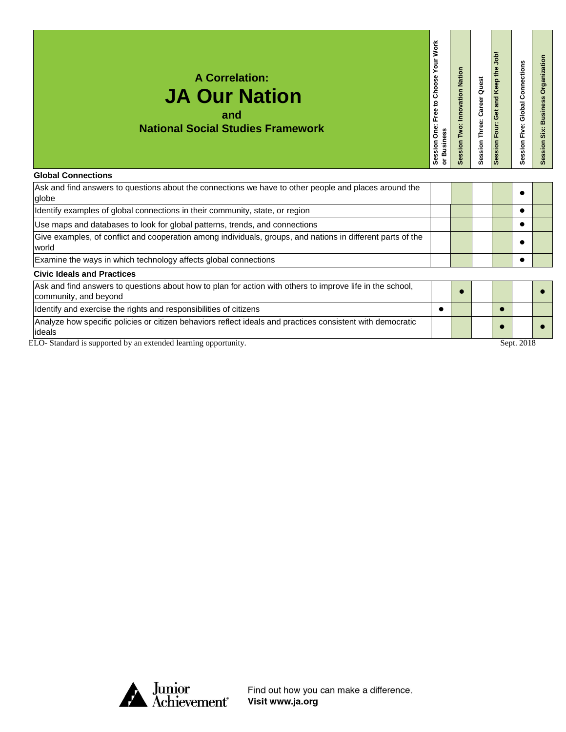| <b>A Correlation:</b><br><b>JA Our Nation</b><br>and<br><b>National Social Studies Framework</b><br><b>Global Connections</b> | <b>Your Work</b><br>Session One: Free to Choose<br>or Business | Nation<br>Innovation<br>Two:<br>ession | <b>Career Quest</b><br>Session Three: | ger<br>e4<br>Keep<br>and<br>Ğ<br>Four:<br>Session | <b>Global Connections</b><br>Session Five: | rganization<br>o<br>ine<br>$\overline{\mathbf{s}}$<br>m<br>six<br>essior<br>Ō |
|-------------------------------------------------------------------------------------------------------------------------------|----------------------------------------------------------------|----------------------------------------|---------------------------------------|---------------------------------------------------|--------------------------------------------|-------------------------------------------------------------------------------|
|                                                                                                                               |                                                                |                                        |                                       |                                                   |                                            |                                                                               |
| Ask and find answers to questions about the connections we have to other people and places around the<br>globe                |                                                                |                                        |                                       |                                                   |                                            |                                                                               |
| Identify examples of global connections in their community, state, or region                                                  |                                                                |                                        |                                       |                                                   |                                            |                                                                               |

Use maps and databases to look for global patterns, trends, and connections **Exercise Looper Action** and Tennis Give examples, of conflict and cooperation among individuals, groups, and nations in different parts of the world Examine the ways in which technology affects global connections **Examine the ways in which technology affects** global connections

**Civic Ideals and Practices**

| Ask and find answers to questions about how to plan for action with others to improve life in the school,<br>community, and beyond |  |  |            |  |
|------------------------------------------------------------------------------------------------------------------------------------|--|--|------------|--|
| Identify and exercise the rights and responsibilities of citizens                                                                  |  |  |            |  |
| Analyze how specific policies or citizen behaviors reflect ideals and practices consistent with democratic                         |  |  |            |  |
| lideals                                                                                                                            |  |  |            |  |
| ELO-Standard is supported by an extended learning opportunity.                                                                     |  |  | Sept. 2018 |  |

Junior<br>Achievement<sup>®</sup>

Find out how you can make a difference. Visit www.ja.org